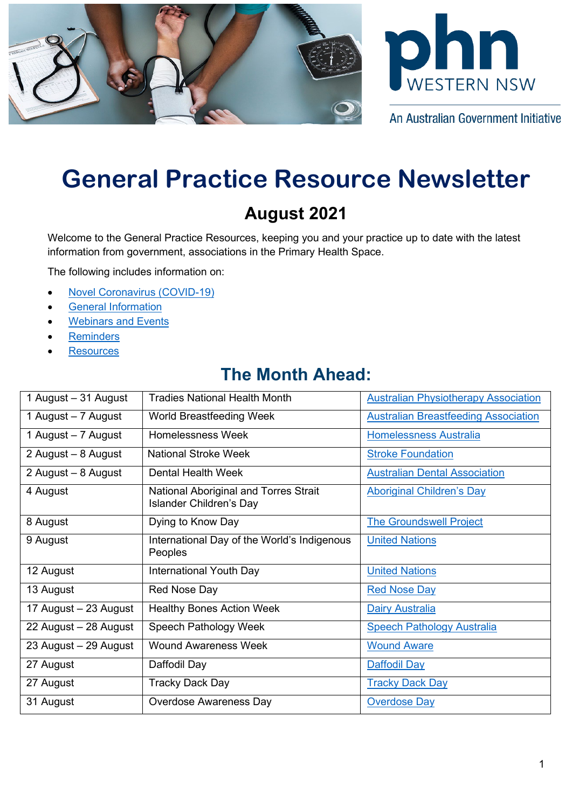



An Australian Government Initiative

# **General Practice Resource Newsletter**

# **August 2021**

Welcome to the General Practice Resources, keeping you and your practice up to date with the latest information from government, associations in the Primary Health Space.

The following includes information on:

- [Novel Coronavirus \(COVID-19\)](#page-0-0)
- [General Information](#page-2-0)
- [Webinars](#page-6-0) and Events
- **[Reminders](#page-7-0)**
- **[Resources](#page-8-0)**

# **The Month Ahead:**

<span id="page-0-0"></span>

| 1 August - 31 August  | <b>Tradies National Health Month</b>                                    | <b>Australian Physiotherapy Association</b> |
|-----------------------|-------------------------------------------------------------------------|---------------------------------------------|
| 1 August – 7 August   | World Breastfeeding Week                                                | <b>Australian Breastfeeding Association</b> |
| 1 August – 7 August   | Homelessness Week                                                       | <b>Homelessness Australia</b>               |
| 2 August - 8 August   | <b>National Stroke Week</b>                                             | <b>Stroke Foundation</b>                    |
| 2 August - 8 August   | Dental Health Week                                                      | <b>Australian Dental Association</b>        |
| 4 August              | National Aboriginal and Torres Strait<br><b>Islander Children's Day</b> | <b>Aboriginal Children's Day</b>            |
| 8 August              | Dying to Know Day                                                       | <b>The Groundswell Project</b>              |
| 9 August              | International Day of the World's Indigenous<br>Peoples                  | <b>United Nations</b>                       |
| 12 August             | International Youth Day                                                 | <b>United Nations</b>                       |
| 13 August             | Red Nose Day                                                            | <b>Red Nose Day</b>                         |
| 17 August – 23 August | <b>Healthy Bones Action Week</b>                                        | <b>Dairy Australia</b>                      |
| 22 August - 28 August | Speech Pathology Week                                                   | <b>Speech Pathology Australia</b>           |
| 23 August - 29 August | <b>Wound Awareness Week</b>                                             | <b>Wound Aware</b>                          |
| 27 August             | Daffodil Day                                                            | <b>Daffodil Day</b>                         |
| 27 August             | <b>Tracky Dack Day</b>                                                  | <b>Tracky Dack Day</b>                      |
| 31 August             | <b>Overdose Awareness Day</b>                                           | <b>Overdose Day</b>                         |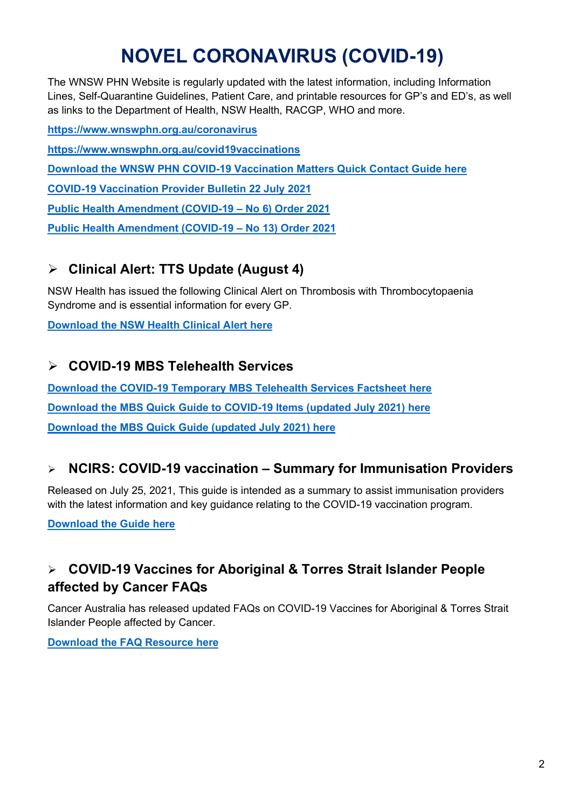# **NOVEL CORONAVIRUS (COVID-19)**

The WNSW PHN Website is regularly updated with the latest information, including Information Lines, Self-Quarantine Guidelines, Patient Care, and printable resources for GP's and ED's, as well as links to the Department of Health, NSW Health, RACGP, WHO and more.

**<https://www.wnswphn.org.au/coronavirus> <https://www.wnswphn.org.au/covid19vaccinations> [Download the WNSW PHN COVID-19 Vaccination Matters Quick Contact Guide here](https://www.wnswphn.org.au/uploads/documents/newsletters/GP%20Resources%20July%202021/WNSW%20PHN%20COVID-19%20Primary%20Care%20Vaccination%20Contacts.pdf) [COVID-19 Vaccination Provider Bulletin 22 July 2021](https://www.wnswphn.org.au/uploads/documents/newsletters/GP%20Resources%20August%202021/PROVIDER%20BULLETIN%2022%20July.pdf) [Public Health Amendment \(COVID-19 –](https://www.wnswphn.org.au/uploads/documents/newsletters/GP%20Resources%20August%202021/Gazette_2021_2021-316.pdf) No 6) Order 2021 [Public Health Amendment \(COVID-19 –](https://www.wnswphn.org.au/uploads/documents/newsletters/GP%20Resources%20August%202021/Gazette_2021_2021-345.pdf) No 13) Order 2021**

### **Clinical Alert: TTS Update (August 4)**

NSW Health has issued the following Clinical Alert on Thrombosis with Thrombocytopaenia Syndrome and is essential information for every GP.

**[Download the NSW Health Clinical Alert here](https://www.wnswphn.org.au/uploads/documents/Employment%20Docs/2021/TTS%20clinical%20update%20-%204%20August%202021.pdf)**

#### **COVID-19 MBS Telehealth Services**

**[Download the COVID-19 Temporary MBS Telehealth Services Factsheet here](http://www.mbsonline.gov.au/internet/mbsonline/publishing.nsf/Content/0C514FB8C9FBBEC7CA25852E00223AFE/$File/Factsheet-COVID-19-GPsOMP-Post-1July2021V5.pdf) [Download the MBS Quick Guide](https://www.wnswphn.org.au/uploads/documents/newsletters/GP%20Resources%20August%202021/MBS%20card_JUL21_COVID-19.pdf) to COVID-19 Items (updated July 2021) here [Download the MBS Quick Guide \(updated July 2021\) here](https://www.wnswphn.org.au/uploads/documents/newsletters/GP%20Resources%20August%202021/MBS%20card_JUL21.pdf)**

#### **NCIRS: COVID-19 vaccination – Summary for Immunisation Providers**

Released on July 25, 2021, This guide is intended as a summary to assist immunisation providers with the latest information and key guidance relating to the COVID-19 vaccination program.

**[Download the Guide here](https://www.wnswphn.org.au/uploads/documents/newsletters/GP%20Resources%20August%202021/COVID-19%20vaccination%20-%20summary%20for%20immunisation%20providers_25%20July%202021.pdf)**

### **COVID-19 Vaccines for Aboriginal & Torres Strait Islander People affected by Cancer FAQs**

Cancer Australia has released updated FAQs on COVID-19 Vaccines for Aboriginal & Torres Strait Islander People affected by Cancer.

**[Download the FAQ Resource here](https://www.wnswphn.org.au/uploads/documents/Resources/Coronavirus/Vaccinations/frequently-asked-questions-about-covid-19-vaccines-aboriginal-and-torres-strait-islander-people_4%20(002).pdf)**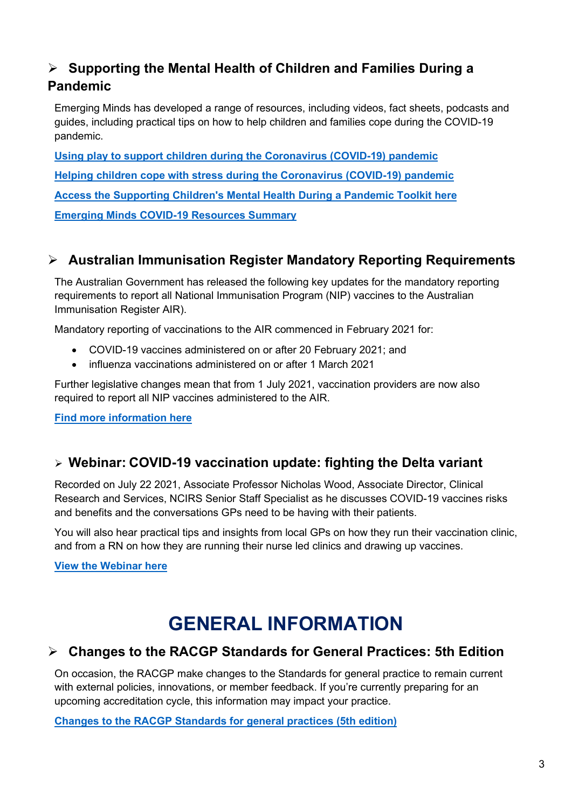#### **Supporting the Mental Health of Children and Families During a Pandemic**

Emerging Minds has developed a range of resources, including videos, fact sheets, podcasts and guides, including practical tips on how to help children and families cope during the COVID-19 pandemic.

**[Using play to support children during the Coronavirus \(COVID-19\) pandemic](https://aus01.safelinks.protection.outlook.com/?url=https%3A%2F%2Fmailer2.zohoinsights.com.au%2Focgeturl%2F7a6803.1a13b9c22%3Fl%3Ddbf31b10-da0b-11eb-a4ab-52540031768a%26m%3Ddb32d850-da0b-11eb-9c58-525400591258%26h%3D7095fd7a11aff21bb80633198c754c19985e322c272583c263291afb0fb2bfcf&data=04%7C01%7Canthony.thompson%40wnswphn.org.au%7C2fa20686e04b442ab2a308d93c2fc2dc%7C3a417f0a466542e0a2cb686915490e8a%7C1%7C1%7C637606998131350557%7CUnknown%7CTWFpbGZsb3d8eyJWIjoiMC4wLjAwMDAiLCJQIjoiV2luMzIiLCJBTiI6Ik1haWwiLCJXVCI6Mn0%3D%7C1000&sdata=AUkhRu0Gu5c7%2B0HR11RnpaG%2BXnISQ8VmxkV8QrV%2FnMk%3D&reserved=0) [Helping children cope with stress during the Coronavirus \(COVID-19\) pandemic](https://aus01.safelinks.protection.outlook.com/?url=https%3A%2F%2Fmailer2.zohoinsights.com.au%2Focgeturl%2F7a6803.1a13b9c22%3Fl%3Ddbf31b12-da0b-11eb-a4ab-52540031768a%26m%3Ddb32d850-da0b-11eb-9c58-525400591258%26h%3D7095fd7a11aff21bb80633198c754c19985e322c272583c263291afb0fb2bfcf&data=04%7C01%7Canthony.thompson%40wnswphn.org.au%7C2fa20686e04b442ab2a308d93c2fc2dc%7C3a417f0a466542e0a2cb686915490e8a%7C1%7C1%7C637606998131360511%7CUnknown%7CTWFpbGZsb3d8eyJWIjoiMC4wLjAwMDAiLCJQIjoiV2luMzIiLCJBTiI6Ik1haWwiLCJXVCI6Mn0%3D%7C1000&sdata=niYKwIyUueBWWMPxT9L2u8Rbn0G04ub6c%2FQaGCtOgXY%3D&reserved=0) [Access the Supporting Children's Mental Health During a Pandemic Toolkit here](https://emergingminds.com.au/resources/toolkits/supporting-childrens-mental-health-during-a-pandemic/) [Emerging Minds COVID-19 Resources Summary](https://www.wnswphn.org.au/uploads/documents/Resources/Emerging-Minds-COVID-19-Resources-Summary%20(002).pdf)**

### **Australian Immunisation Register Mandatory Reporting Requirements**

The Australian Government has released the following key updates for the mandatory reporting requirements to report all National Immunisation Program (NIP) vaccines to the Australian Immunisation Register AIR).

Mandatory reporting of vaccinations to the AIR commenced in February 2021 for:

- COVID-19 vaccines administered on or after 20 February 2021; and
- influenza vaccinations administered on or after 1 March 2021

Further legislative changes mean that from 1 July 2021, vaccination providers are now also required to report all NIP vaccines administered to the AIR.

**[Find more information here](https://www.health.gov.au/news/mandatory-reporting-of-national-immunisation-program-vaccines-to-the-australian-immunisation-register-began-on-1-july-2021)**

#### **Webinar: COVID-19 vaccination update: fighting the Delta variant**

Recorded on July 22 2021, Associate Professor Nicholas Wood, Associate Director, Clinical Research and Services, NCIRS Senior Staff Specialist as he discusses COVID-19 vaccines risks and benefits and the conversations GPs need to be having with their patients.

You will also hear practical tips and insights from local GPs on how they run their vaccination clinic, and from a RN on how they are running their nurse led clinics and drawing up vaccines.

<span id="page-2-0"></span>**[View the Webinar here](https://www.youtube.com/watch?v=0ttwcGxnq28)**

# **GENERAL INFORMATION**

#### **Changes to the RACGP Standards for General Practices: 5th Edition**

On occasion, the RACGP make changes to the Standards for general practice to remain current with external policies, innovations, or member feedback. If you're currently preparing for an upcoming accreditation cycle, this information may impact your practice.

**[Changes to the RACGP Standards for general practices \(5th edition\)](https://www.racgp.org.au/FSDEDEV/media/documents/Running%20a%20practice/Practice%20standards/5th%20edition/Changes-to-the-RACGP-Standards-5th-Edition.pdf)**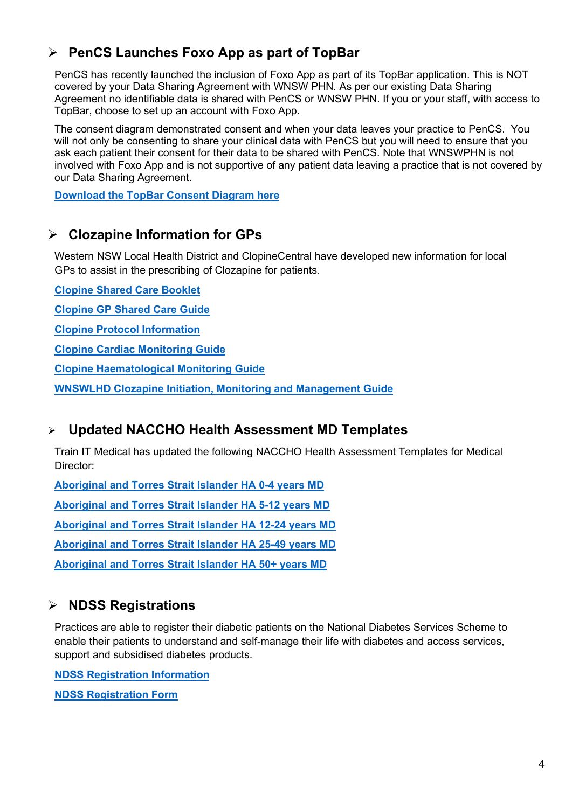### **PenCS Launches Foxo App as part of TopBar**

PenCS has recently launched the inclusion of Foxo App as part of its TopBar application. This is NOT covered by your Data Sharing Agreement with WNSW PHN. As per our existing Data Sharing Agreement no identifiable data is shared with PenCS or WNSW PHN. If you or your staff, with access to TopBar, choose to set up an account with Foxo App.

The consent diagram demonstrated consent and when your data leaves your practice to PenCS. You will not only be consenting to share your clinical data with PenCS but you will need to ensure that you ask each patient their consent for their data to be shared with PenCS. Note that WNSWPHN is not involved with Foxo App and is not supportive of any patient data leaving a practice that is not covered by our Data Sharing Agreement.

**[Download the TopBar Consent Diagram here](https://www.wnswphn.org.au/uploads/documents/newsletters/GP%20Resources%20August%202021/PenCS_TopbarDataTransferConsentProcesses_Diagram_FOXO.pdf)**

#### **Clozapine Information for GPs**

Western NSW Local Health District and ClopineCentral have developed new information for local GPs to assist in the prescribing of Clozapine for patients.

**[Clopine Shared Care Booklet](https://www.wnswphn.org.au/uploads/documents/newsletters/GP%20Resources%20August%202021/general_practitioner_shared_care_program_booklet%20(1).pdf)**

**[Clopine GP Shared Care Guide](https://www.wnswphn.org.au/uploads/documents/newsletters/GP%20Resources%20August%202021/general_practitioner_shared_care_program_slide_deck.pdf)**

**[Clopine Protocol Information](https://www.wnswphn.org.au/uploads/documents/newsletters/GP%20Resources%20August%202021/ClopineCentral%20Protocol%20v1.0%20Pfizer.pdf)**

**[Clopine Cardiac Monitoring Guide](https://www.wnswphn.org.au/uploads/documents/newsletters/GP%20Resources%20August%202021/Clopine%20Cardiac%20Monitoring%20Guide%20(Jan17).pdf)**

**[Clopine Haematological Monitoring Guide](https://www.wnswphn.org.au/uploads/documents/newsletters/GP%20Resources%20August%202021/Clopine%20Haematological%20Monitoring%20Guide%20(Jan17).pdf)**

**[WNSWLHD Clozapine Initiation, Monitoring and Management Guide](https://www.wnswphn.org.au/uploads/documents/newsletters/GP%20Resources%20August%202021/WN_GL2019_015_Clozapine_Initiation_Monitoring_and_Management.pdf)**

#### **Updated NACCHO Health Assessment MD Templates**

Train IT Medical has updated the following NACCHO Health Assessment Templates for Medical Director:

**[Aboriginal and Torres Strait Islander HA 0-4 years MD](https://www.wnswphn.org.au/uploads/documents/newsletters/GP%20Resources%20August%202021/Aboriginal%20and%20Torres%20Strait%20Islander%20HA%200-4%20years%20MD.rtf)**

**[Aboriginal and Torres Strait Islander HA 5-12 years MD](https://www.wnswphn.org.au/uploads/documents/newsletters/GP%20Resources%20August%202021/Aboriginal%20and%20Torres%20Strait%20Islander%20HA%205-12%20years%20MD.rtf)**

**[Aboriginal and Torres Strait Islander HA 12-24 years MD](https://www.wnswphn.org.au/uploads/documents/newsletters/GP%20Resources%20August%202021/Aboriginal%20and%20Torres%20Strait%20Islander%20HA%2012-24%20years%20MD.rtf)**

**[Aboriginal and Torres Strait Islander HA 25-49 years MD](https://www.wnswphn.org.au/uploads/documents/newsletters/GP%20Resources%20August%202021/Aboriginal%20and%20Torres%20Strait%20Islander%20HA%2025-49%20years%20MD.rtf)**

**[Aboriginal and Torres Strait Islander HA 50+ years MD](https://www.wnswphn.org.au/uploads/documents/newsletters/GP%20Resources%20August%202021/Aboriginal%20and%20Torres%20Strait%20Islander%20HA%2050+%20years%20MD.rtf)**

#### **NDSS Registrations**

Practices are able to register their diabetic patients on the National Diabetes Services Scheme to enable their patients to understand and self-manage their life with diabetes and access services, support and subsidised diabetes products.

**[NDSS Registration Information](https://www.ndss.com.au/about-the-ndss/registration/)**

**[NDSS Registration Form](https://www.ndss.com.au/wp-content/uploads/forms/form-ndss-registration-form.pdf)**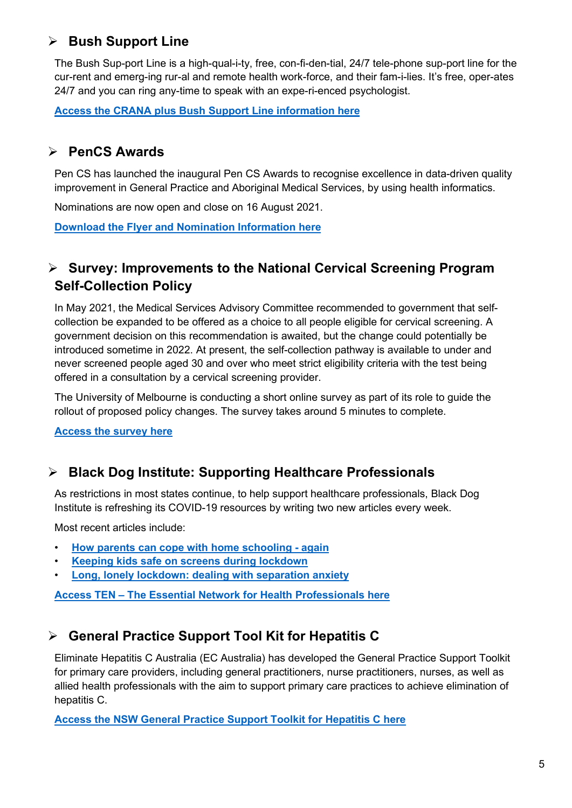### **Bush Support Line**

The Bush Sup-port Line is a high-qual-i-ty, free, con-fi-den-tial, 24/7 tele-phone sup-port line for the cur-rent and emerg-ing rur-al and remote health work-force, and their fam-i-lies. It's free, oper-ates 24/7 and you can ring any-time to speak with an expe-ri-enced psychologist.

**[Access the CRANA plus Bush Support Line information here](https://crana.org.au/mental-health-wellbeing/call-1800-805-391)**

### **PenCS Awards**

Pen CS has launched the inaugural Pen CS Awards to recognise excellence in data-driven quality improvement in General Practice and Aboriginal Medical Services, by using health informatics.

Nominations are now open and close on 16 August 2021.

**[Download the Flyer and Nomination Information here](https://www.wnswphn.org.au/uploads/documents/Resources/20210721_PenCS_The_inaugural_PenCS_Awards_Nominations_are_open.pdf)**

#### **Survey: Improvements to the National Cervical Screening Program Self-Collection Policy**

In May 2021, the Medical Services Advisory Committee recommended to government that selfcollection be expanded to be offered as a choice to all people eligible for cervical screening. A government decision on this recommendation is awaited, but the change could potentially be introduced sometime in 2022. At present, the self-collection pathway is available to under and never screened people aged 30 and over who meet strict eligibility criteria with the test being offered in a consultation by a cervical screening provider.

The University of Melbourne is conducting a short online survey as part of its role to guide the rollout of proposed policy changes. The survey takes around 5 minutes to complete.

**[Access the survey here](https://melbourneuni.au1.qualtrics.com/jfe/form/SV_1TFtMJwsBHlbAzA)**

#### **Black Dog Institute: Supporting Healthcare Professionals**

As restrictions in most states continue, to help support healthcare professionals, Black Dog Institute is refreshing its COVID-19 resources by writing two new articles every week.

Most recent articles include:

- **[How parents can cope with home schooling -](https://www.blackdoginstitute.org.au/news/how-parents-can-cope-with-home-schooling-again/?utm_medium=email&utm_campaign=HP%20EDM%20July&utm_content=HP%20EDM%20July+CID_e3ae7a5ec4ef495226b01e1a118cc366&utm_source=Email&utm_term=How%20parents%20can%20cope%20with%20home%20schooling%20-%20again) again**
- **[Keeping kids safe on screens during lockdown](https://www.blackdoginstitute.org.au/news/keeping-kids-safe-on-screens-during-lockdown/?utm_medium=email&utm_campaign=HP%20EDM%20July&utm_content=HP%20EDM%20July+CID_e3ae7a5ec4ef495226b01e1a118cc366&utm_source=Email&utm_term=Keeping%20kids%20safe%20on%20screens%20during%20lockdown)**
- **[Long, lonely lockdown: dealing with separation anxiety](https://www.blackdoginstitute.org.au/news/long-lonely-lockdown-dealing-with-separation-anxiety/?utm_medium=email&utm_campaign=HP%20EDM%20July&utm_content=HP%20EDM%20July+CID_e3ae7a5ec4ef495226b01e1a118cc366&utm_source=Email&utm_term=Long%20lonely%20lockdown%20dealing%20with%20separation%20anxiety)**

**Access TEN – [The Essential Network for Health Professionals here](https://www.blackdoginstitute.org.au/the-essential-network/?utm_medium=email&utm_campaign=HP%20EDM%20July&utm_content=HP%20EDM%20July+CID_e3ae7a5ec4ef495226b01e1a118cc366&utm_source=Email&utm_term=TEN%20%20The%20Essential%20Network%20for%20Health%20Professionals)**

## **General Practice Support Tool Kit for Hepatitis C**

Eliminate Hepatitis C Australia (EC Australia) has developed the General Practice Support Toolkit for primary care providers, including general practitioners, nurse practitioners, nurses, as well as allied health professionals with the aim to support primary care practices to achieve elimination of hepatitis C.

**[Access the NSW General Practice Support Toolkit for Hepatitis C here](https://www.ecpartnership.org.au/system/resource/123/file/2021_EC_Partnership_Toolkit_doc_NSW_DIGITAL.pdf)**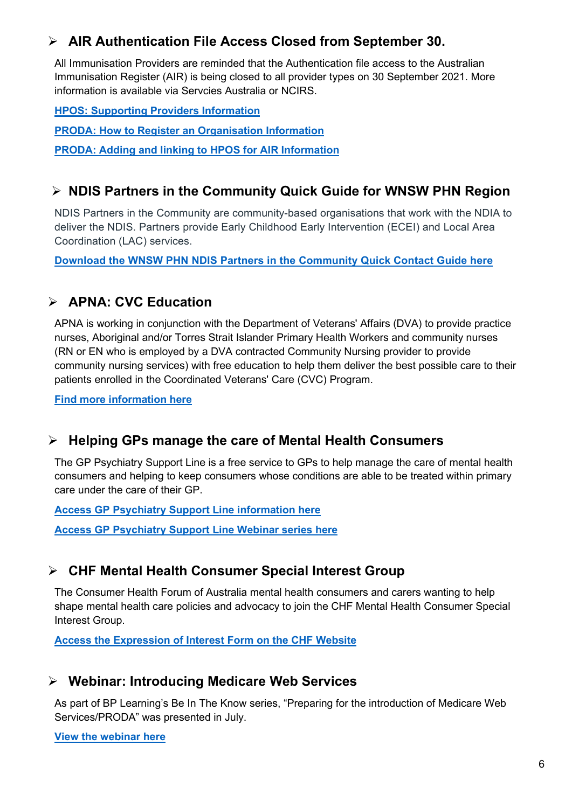#### **AIR Authentication File Access Closed from September 30.**

All Immunisation Providers are reminded that the Authentication file access to the Australian Immunisation Register (AIR) is being closed to all provider types on 30 September 2021. More information is available via Servcies Australia or NCIRS.

**[HPOS: Supporting Providers Information](https://www.ncirs.org.au/sites/default/files/2020-12/HPOS%20-%20Supporting%20providers_December%202020_Final_0.pdf)**

**[PRODA: How to Register an Organisation Information](https://www.servicesaustralia.gov.au/organisations/business/services/proda-provider-digital-access/how-register-organisation)**

**[PRODA: Adding and linking to HPOS for AIR Information](https://www.servicesaustralia.gov.au/organisations/business/services/proda-provider-digital-access/how-manage-your-organisation/adding-and-linking-service-providers-organisations/linking-health-service-providers/adding-and-linking-hpos-air)**

#### **NDIS Partners in the Community Quick Guide for WNSW PHN Region**

NDIS Partners in the Community are community-based organisations that work with the NDIA to deliver the NDIS. Partners provide Early Childhood Early Intervention (ECEI) and Local Area Coordination (LAC) services.

**[Download the WNSW PHN NDIS Partners in the Community Quick Contact Guide here](https://www.wnswphn.org.au/uploads/documents/newsletters/GP%20Resources%20August%202021/NDIS%20Partners%20in%20the%20Community%20Flyer%20-%20270121.pdf)**

#### **APNA: CVC Education**

APNA is working in conjunction with the Department of Veterans' Affairs (DVA) to provide practice nurses, Aboriginal and/or Torres Strait Islander Primary Health Workers and community nurses (RN or EN who is employed by a DVA contracted Community Nursing provider to provide community nursing services) with free education to help them deliver the best possible care to their patients enrolled in the Coordinated Veterans' Care (CVC) Program.

**[Find more information here](https://www.apna.asn.au/profession/chronic-disease-management-and-care-planning-education-for-cvc-program-nurses)**

#### **Helping GPs manage the care of Mental Health Consumers**

The GP Psychiatry Support Line is a free service to GPs to help manage the care of mental health consumers and helping to keep consumers whose conditions are able to be treated within primary care under the care of their GP.

**[Access GP Psychiatry Support Line information here](https://www.gpsupport.org.au/)**

**[Access GP Psychiatry Support Line Webinar series here](https://www.gpsupport.org.au/webinars)**

#### **CHF Mental Health Consumer Special Interest Group**

The Consumer Health Forum of Australia mental health consumers and carers wanting to help shape mental health care policies and advocacy to join the CHF Mental Health Consumer Special Interest Group.

**[Access the Expression of Interest Form on the CHF Website](https://chf.org.au/mental-health-special-interest-group-expression-interest)**

#### **Webinar: Introducing Medicare Web Services**

As part of BP Learning's Be In The Know series, "Preparing for the introduction of Medicare Web Services/PRODA" was presented in July.

**[View the webinar here](https://vimeo.com/575250181)**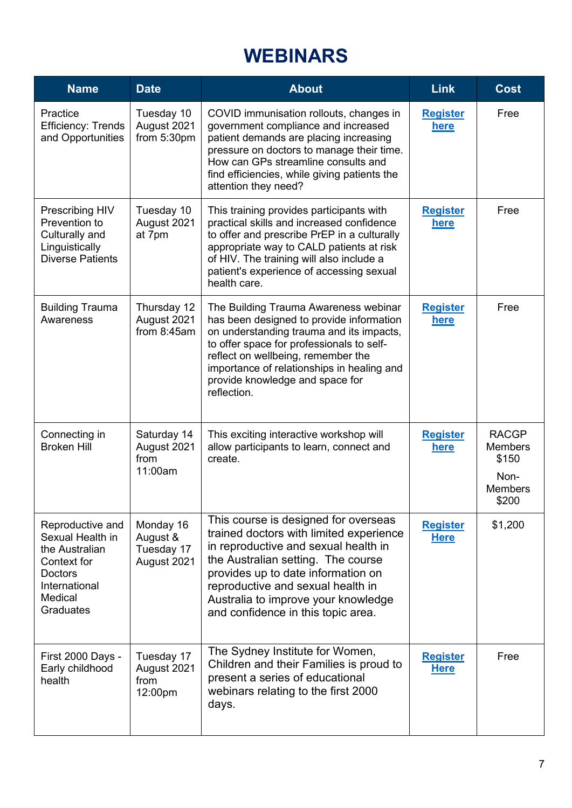# **WEBINARS**

<span id="page-6-0"></span>

| <b>Name</b>                                                                                                                      | <b>Date</b>                                        | <b>About</b>                                                                                                                                                                                                                                                                                                          | <b>Link</b>                    | <b>Cost</b>                                                                |
|----------------------------------------------------------------------------------------------------------------------------------|----------------------------------------------------|-----------------------------------------------------------------------------------------------------------------------------------------------------------------------------------------------------------------------------------------------------------------------------------------------------------------------|--------------------------------|----------------------------------------------------------------------------|
| Practice<br>Efficiency: Trends<br>and Opportunities                                                                              | Tuesday 10<br>August 2021<br>from 5:30pm           | COVID immunisation rollouts, changes in<br>government compliance and increased<br>patient demands are placing increasing<br>pressure on doctors to manage their time.<br>How can GPs streamline consults and<br>find efficiencies, while giving patients the<br>attention they need?                                  | <b>Register</b><br><u>here</u> | Free                                                                       |
| Prescribing HIV<br>Prevention to<br>Culturally and<br>Linguistically<br><b>Diverse Patients</b>                                  | Tuesday 10<br>August 2021<br>at 7pm                | This training provides participants with<br>practical skills and increased confidence<br>to offer and prescribe PrEP in a culturally<br>appropriate way to CALD patients at risk<br>of HIV. The training will also include a<br>patient's experience of accessing sexual<br>health care.                              | <b>Register</b><br>here        | Free                                                                       |
| <b>Building Trauma</b><br>Awareness                                                                                              | Thursday 12<br>August 2021<br>from $8:45$ am       | The Building Trauma Awareness webinar<br>has been designed to provide information<br>on understanding trauma and its impacts,<br>to offer space for professionals to self-<br>reflect on wellbeing, remember the<br>importance of relationships in healing and<br>provide knowledge and space for<br>reflection.      | <b>Register</b><br>here        | Free                                                                       |
| Connecting in<br><b>Broken Hill</b>                                                                                              | Saturday 14<br>August 2021<br>from<br>11:00am      | This exciting interactive workshop will<br>allow participants to learn, connect and<br>create.                                                                                                                                                                                                                        | <b>Register</b><br>here        | <b>RACGP</b><br><b>Members</b><br>\$150<br>Non-<br><b>Members</b><br>\$200 |
| Reproductive and<br>Sexual Health in<br>the Australian<br>Context for<br><b>Doctors</b><br>International<br>Medical<br>Graduates | Monday 16<br>August &<br>Tuesday 17<br>August 2021 | This course is designed for overseas<br>trained doctors with limited experience<br>in reproductive and sexual health in<br>the Australian setting. The course<br>provides up to date information on<br>reproductive and sexual health in<br>Australia to improve your knowledge<br>and confidence in this topic area. | <b>Register</b><br><b>Here</b> | \$1,200                                                                    |
| First 2000 Days -<br>Early childhood<br>health                                                                                   | Tuesday 17<br>August 2021<br>from<br>12:00pm       | The Sydney Institute for Women,<br>Children and their Families is proud to<br>present a series of educational<br>webinars relating to the first 2000<br>days.                                                                                                                                                         | <b>Register</b><br><b>Here</b> | Free                                                                       |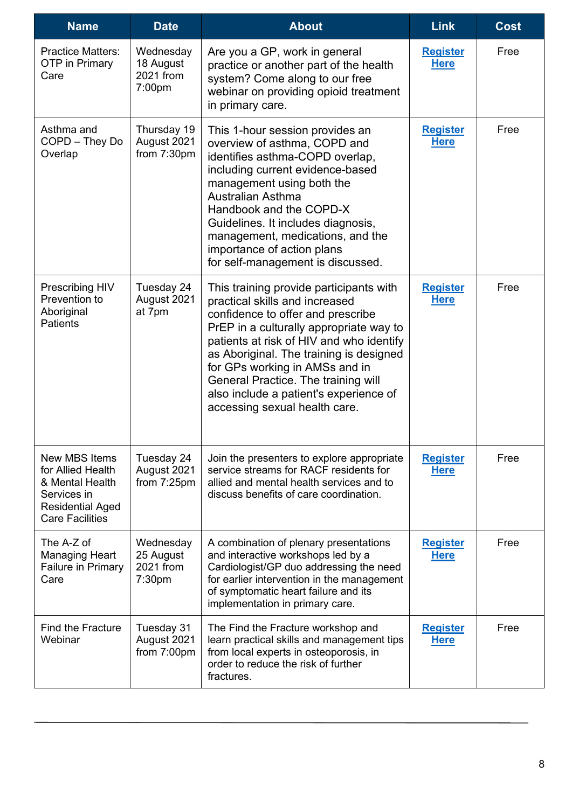<span id="page-7-0"></span>

| <b>Name</b>                                                                                                                      | <b>Date</b>                                               | <b>About</b>                                                                                                                                                                                                                                                                                                                                                                                         | <b>Link</b>                    | <b>Cost</b> |
|----------------------------------------------------------------------------------------------------------------------------------|-----------------------------------------------------------|------------------------------------------------------------------------------------------------------------------------------------------------------------------------------------------------------------------------------------------------------------------------------------------------------------------------------------------------------------------------------------------------------|--------------------------------|-------------|
| <b>Practice Matters:</b><br>OTP in Primary<br>Care                                                                               | Wednesday<br>18 August<br>2021 from<br>7:00pm             | Are you a GP, work in general<br>practice or another part of the health<br>system? Come along to our free<br>webinar on providing opioid treatment<br>in primary care.                                                                                                                                                                                                                               | <b>Register</b><br><b>Here</b> | Free        |
| Asthma and<br>COPD - They Do<br>Overlap                                                                                          | Thursday 19<br>August 2021<br>from 7:30pm                 | This 1-hour session provides an<br>overview of asthma, COPD and<br>identifies asthma-COPD overlap,<br>including current evidence-based<br>management using both the<br><b>Australian Asthma</b><br>Handbook and the COPD-X<br>Guidelines. It includes diagnosis,<br>management, medications, and the<br>importance of action plans<br>for self-management is discussed.                              | <b>Register</b><br><b>Here</b> | Free        |
| Prescribing HIV<br>Prevention to<br>Aboriginal<br><b>Patients</b>                                                                | Tuesday 24<br>August 2021<br>at 7pm                       | This training provide participants with<br>practical skills and increased<br>confidence to offer and prescribe<br>PrEP in a culturally appropriate way to<br>patients at risk of HIV and who identify<br>as Aboriginal. The training is designed<br>for GPs working in AMSs and in<br>General Practice. The training will<br>also include a patient's experience of<br>accessing sexual health care. | <b>Register</b><br><b>Here</b> | Free        |
| <b>New MBS Items</b><br>for Allied Health<br>& Mental Health<br>Services in<br><b>Residential Aged</b><br><b>Care Facilities</b> | Tuesday 24<br>August 2021<br>from 7:25pm                  | Join the presenters to explore appropriate<br>service streams for RACF residents for<br>allied and mental health services and to<br>discuss benefits of care coordination.                                                                                                                                                                                                                           | <b>Register</b><br><b>Here</b> | Free        |
| The A-Z of<br><b>Managing Heart</b><br>Failure in Primary<br>Care                                                                | Wednesday<br>25 August<br>2021 from<br>7:30 <sub>pm</sub> | A combination of plenary presentations<br>and interactive workshops led by a<br>Cardiologist/GP duo addressing the need<br>for earlier intervention in the management<br>of symptomatic heart failure and its<br>implementation in primary care.                                                                                                                                                     | <b>Register</b><br><b>Here</b> | Free        |
| <b>Find the Fracture</b><br>Webinar                                                                                              | Tuesday 31<br>August 2021<br>from 7:00pm                  | The Find the Fracture workshop and<br>learn practical skills and management tips<br>from local experts in osteoporosis, in<br>order to reduce the risk of further<br>fractures.                                                                                                                                                                                                                      | <b>Register</b><br><b>Here</b> | Free        |